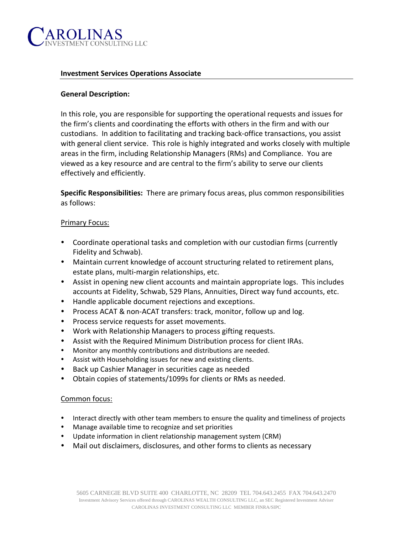

#### **Investment Services Operations Associate**

### **General Description:**

In this role, you are responsible for supporting the operational requests and issues for the firm's clients and coordinating the efforts with others in the firm and with our custodians. In addition to facilitating and tracking back-office transactions, you assist with general client service. This role is highly integrated and works closely with multiple areas in the firm, including Relationship Managers (RMs) and Compliance. You are viewed as a key resource and are central to the firm's ability to serve our clients effectively and efficiently.

**Specific Responsibilities:** There are primary focus areas, plus common responsibilities as follows:

#### Primary Focus:

- Coordinate operational tasks and completion with our custodian firms (currently Fidelity and Schwab).
- Maintain current knowledge of account structuring related to retirement plans, estate plans, multi-margin relationships, etc.
- Assist in opening new client accounts and maintain appropriate logs. This includes accounts at Fidelity, Schwab, 529 Plans, Annuities, Direct way fund accounts, etc.
- Handle applicable document rejections and exceptions.
- Process ACAT & non-ACAT transfers: track, monitor, follow up and log.
- Process service requests for asset movements.
- Work with Relationship Managers to process gifting requests.
- Assist with the Required Minimum Distribution process for client IRAs.
- Monitor any monthly contributions and distributions are needed.
- Assist with Householding issues for new and existing clients.
- Back up Cashier Manager in securities cage as needed
- Obtain copies of statements/1099s for clients or RMs as needed.

#### Common focus:

- Interact directly with other team members to ensure the quality and timeliness of projects
- Manage available time to recognize and set priorities
- Update information in client relationship management system (CRM)
- Mail out disclaimers, disclosures, and other forms to clients as necessary